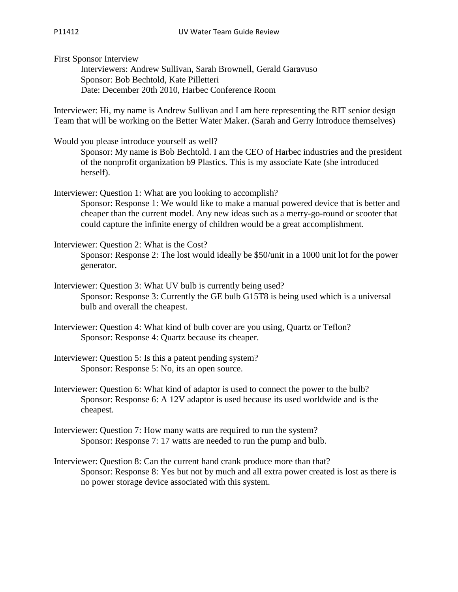First Sponsor Interview

Interviewers: Andrew Sullivan, Sarah Brownell, Gerald Garavuso Sponsor: Bob Bechtold, Kate Pilletteri Date: December 20th 2010, Harbec Conference Room

Interviewer: Hi, my name is Andrew Sullivan and I am here representing the RIT senior design Team that will be working on the Better Water Maker. (Sarah and Gerry Introduce themselves)

Would you please introduce yourself as well?

Sponsor: My name is Bob Bechtold. I am the CEO of Harbec industries and the president of the nonprofit organization b9 Plastics. This is my associate Kate (she introduced herself).

Interviewer: Question 1: What are you looking to accomplish?

Sponsor: Response 1: We would like to make a manual powered device that is better and cheaper than the current model. Any new ideas such as a merry-go-round or scooter that could capture the infinite energy of children would be a great accomplishment.

Interviewer: Question 2: What is the Cost? Sponsor: Response 2: The lost would ideally be \$50/unit in a 1000 unit lot for the power generator.

Interviewer: Question 3: What UV bulb is currently being used? Sponsor: Response 3: Currently the GE bulb G15T8 is being used which is a universal bulb and overall the cheapest.

- Interviewer: Question 4: What kind of bulb cover are you using, Quartz or Teflon? Sponsor: Response 4: Quartz because its cheaper.
- Interviewer: Question 5: Is this a patent pending system? Sponsor: Response 5: No, its an open source.
- Interviewer: Question 6: What kind of adaptor is used to connect the power to the bulb? Sponsor: Response 6: A 12V adaptor is used because its used worldwide and is the cheapest.
- Interviewer: Question 7: How many watts are required to run the system? Sponsor: Response 7: 17 watts are needed to run the pump and bulb.
- Interviewer: Question 8: Can the current hand crank produce more than that? Sponsor: Response 8: Yes but not by much and all extra power created is lost as there is no power storage device associated with this system.